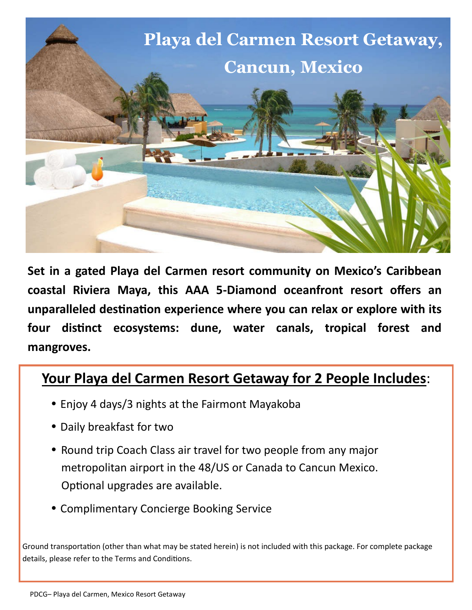

**Set in a gated Playa del Carmen resort community on Mexico's Caribbean coastal Riviera Maya, this AAA 5-Diamond oceanfront resort offers an unparalleled destination experience where you can relax or explore with its four distinct ecosystems: dune, water canals, tropical forest and mangroves.**

## **Your Playa del Carmen Resort Getaway for 2 People Includes**:

- Enjoy 4 days/3 nights at the Fairmont Mayakoba
- Daily breakfast for two
- Round trip Coach Class air travel for two people from any major metropolitan airport in the 48/US or Canada to Cancun Mexico. Optional upgrades are available.
- Complimentary Concierge Booking Service

Ground transportation (other than what may be stated herein) is not included with this package. For complete package details, please refer to the Terms and Conditions.